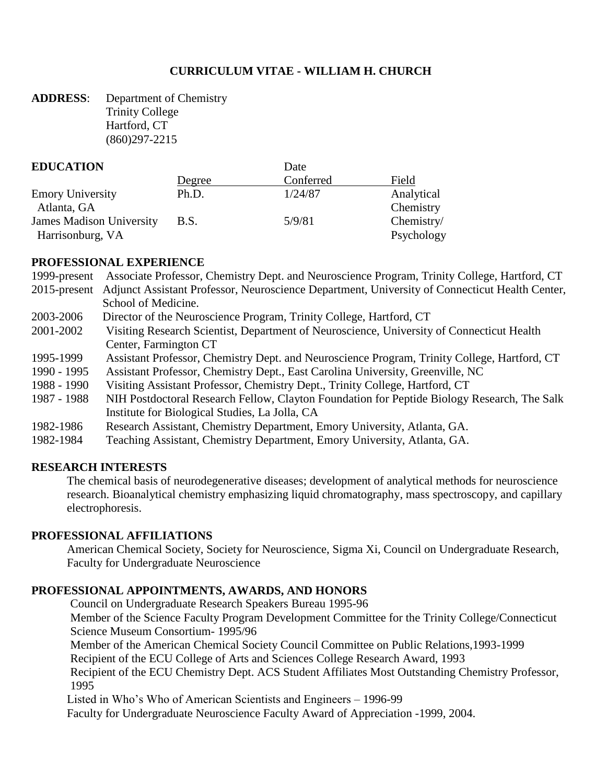#### **CURRICULUM VITAE - WILLIAM H. CHURCH**

**ADDRESS**: Department of Chemistry Trinity College Hartford, CT (860)297-2215

#### **EDUCATION** Date

| ----------------                |        |           |            |  |  |
|---------------------------------|--------|-----------|------------|--|--|
|                                 | Degree | Conferred | Field      |  |  |
| <b>Emory University</b>         | Ph.D.  | 1/24/87   | Analytical |  |  |
| Atlanta, GA                     |        |           | Chemistry  |  |  |
| <b>James Madison University</b> | B.S.   | 5/9/81    | Chemistry/ |  |  |
| Harrisonburg, VA                |        |           | Psychology |  |  |

#### **PROFESSIONAL EXPERIENCE**

| 1999-present Associate Professor, Chemistry Dept. and Neuroscience Program, Trinity College, Hartford, CT |  |  |  |  |  |
|-----------------------------------------------------------------------------------------------------------|--|--|--|--|--|
|                                                                                                           |  |  |  |  |  |

- 2015-present Adjunct Assistant Professor, Neuroscience Department, University of Connecticut Health Center, School of Medicine.
- 2003-2006 Director of the Neuroscience Program, Trinity College, Hartford, CT
- 2001-2002 Visiting Research Scientist, Department of Neuroscience, University of Connecticut Health Center, Farmington CT
- 1995-1999 Assistant Professor, Chemistry Dept. and Neuroscience Program, Trinity College, Hartford, CT
- 1990 1995 Assistant Professor, Chemistry Dept., East Carolina University, Greenville, NC
- 1988 1990 Visiting Assistant Professor, Chemistry Dept., Trinity College, Hartford, CT
- 1987 1988 NIH Postdoctoral Research Fellow, Clayton Foundation for Peptide Biology Research, The Salk Institute for Biological Studies, La Jolla, CA
- 1982-1986 Research Assistant, Chemistry Department, Emory University, Atlanta, GA.
- 1982-1984 Teaching Assistant, Chemistry Department, Emory University, Atlanta, GA.

#### **RESEARCH INTERESTS**

The chemical basis of neurodegenerative diseases; development of analytical methods for neuroscience research. Bioanalytical chemistry emphasizing liquid chromatography, mass spectroscopy, and capillary electrophoresis.

#### **PROFESSIONAL AFFILIATIONS**

American Chemical Society, Society for Neuroscience, Sigma Xi, Council on Undergraduate Research, Faculty for Undergraduate Neuroscience

#### **PROFESSIONAL APPOINTMENTS, AWARDS, AND HONORS**

Council on Undergraduate Research Speakers Bureau 1995-96

Member of the Science Faculty Program Development Committee for the Trinity College/Connecticut Science Museum Consortium- 1995/96

Member of the American Chemical Society Council Committee on Public Relations,1993-1999 Recipient of the ECU College of Arts and Sciences College Research Award, 1993

Recipient of the ECU Chemistry Dept. ACS Student Affiliates Most Outstanding Chemistry Professor, 1995

Listed in Who's Who of American Scientists and Engineers – 1996-99

Faculty for Undergraduate Neuroscience Faculty Award of Appreciation -1999, 2004.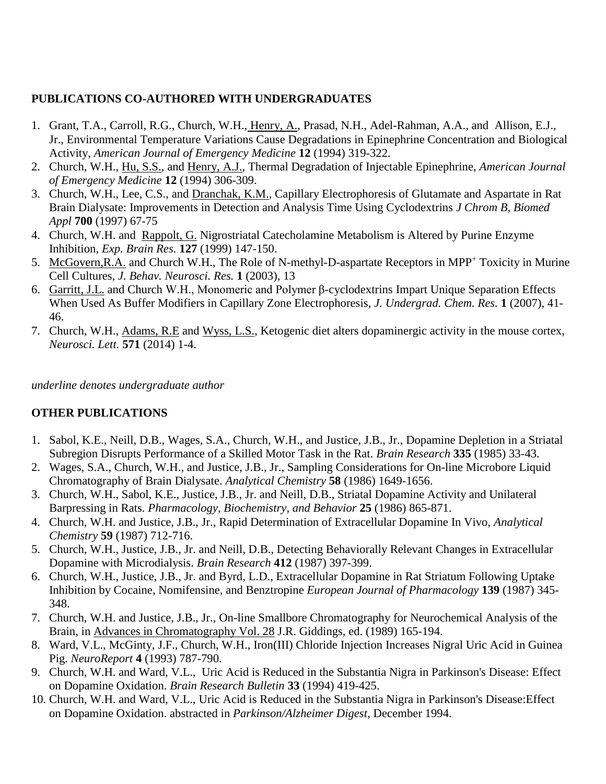#### **PUBLICATIONS CO-AUTHORED WITH UNDERGRADUATES**

- 1. Grant, T.A., Carroll, R.G., Church, W.H., Henry, A., Prasad, N.H., Adel-Rahman, A.A., and Allison, E.J., Jr., Environmental Temperature Variations Cause Degradations in Epinephrine Concentration and Biological Activity, *American Journal of Emergency Medicine* **12** (1994) 319-322.
- 2. Church, W.H., Hu, S.S., and Henry, A.J., Thermal Degradation of Injectable Epinephrine, *American Journal of Emergency Medicine* **12** (1994) 306-309.
- 3. Church, W.H., Lee, C.S., and Dranchak, K.M., Capillary Electrophoresis of Glutamate and Aspartate in Rat Brain Dialysate: Improvements in Detection and Analysis Time Using Cyclodextrins *J Chrom B, Biomed Appl* **700** (1997) 67-75
- 4. Church, W.H. and Rappolt, G. Nigrostriatal Catecholamine Metabolism is Altered by Purine Enzyme Inhibition, *Exp. Brain Res.* **127** (1999) 147-150.
- 5. McGovern,R.A. and Church W.H., The Role of N-methyl-D-aspartate Receptors in MPP<sup>+</sup> Toxicity in Murine Cell Cultures, *J. Behav. Neurosci. Res.* **1** (2003), 13
- 6. Garritt, J.L. and Church W.H., Monomeric and Polymer β-cyclodextrins Impart Unique Separation Effects When Used As Buffer Modifiers in Capillary Zone Electrophoresis, *J. Undergrad. Chem. Res.* **1** (2007), 41- 46.
- 7. Church, W.H., Adams, R.E and Wyss, L.S., Ketogenic diet alters dopaminergic activity in the mouse cortex, *Neurosci. Lett.* **571** (2014) 1-4.

*underline denotes undergraduate author*

# **OTHER PUBLICATIONS**

- 1. Sabol, K.E., Neill, D.B., Wages, S.A., Church, W.H., and Justice, J.B., Jr., Dopamine Depletion in a Striatal Subregion Disrupts Performance of a Skilled Motor Task in the Rat. *Brain Research* **335** (1985) 33-43.
- 2. Wages, S.A., Church, W.H., and Justice, J.B., Jr., Sampling Considerations for On-line Microbore Liquid Chromatography of Brain Dialysate. *Analytical Chemistry* **58** (1986) 1649-1656.
- 3. Church, W.H., Sabol, K.E., Justice, J.B., Jr. and Neill, D.B., Striatal Dopamine Activity and Unilateral Barpressing in Rats. *Pharmacology, Biochemistry, and Behavior* **25** (1986) 865-871.
- 4. Church, W.H. and Justice, J.B., Jr., Rapid Determination of Extracellular Dopamine In Vivo, *Analytical Chemistry* **59** (1987) 712-716.
- 5. Church, W.H., Justice, J.B., Jr. and Neill, D.B., Detecting Behaviorally Relevant Changes in Extracellular Dopamine with Microdialysis. *Brain Research* **412** (1987) 397-399.
- 6. Church, W.H., Justice, J.B., Jr. and Byrd, L.D., Extracellular Dopamine in Rat Striatum Following Uptake Inhibition by Cocaine, Nomifensine, and Benztropine *European Journal of Pharmacology* **139** (1987) 345- 348.
- 7. Church, W.H. and Justice, J.B., Jr., On-line Smallbore Chromatography for Neurochemical Analysis of the Brain, in Advances in Chromatography Vol. 28 J.R. Giddings, ed. (1989) 165-194.
- 8. Ward, V.L., McGinty, J.F., Church, W.H., Iron(III) Chloride Injection Increases Nigral Uric Acid in Guinea Pig. *NeuroReport* **4** (1993) 787-790.
- 9. Church, W.H. and Ward, V.L., Uric Acid is Reduced in the Substantia Nigra in Parkinson's Disease: Effect on Dopamine Oxidation. *Brain Research Bulletin* **33** (1994) 419-425.
- 10. Church, W.H. and Ward, V.L., Uric Acid is Reduced in the Substantia Nigra in Parkinson's Disease:Effect on Dopamine Oxidation. abstracted in *Parkinson/Alzheimer Digest*, December 1994.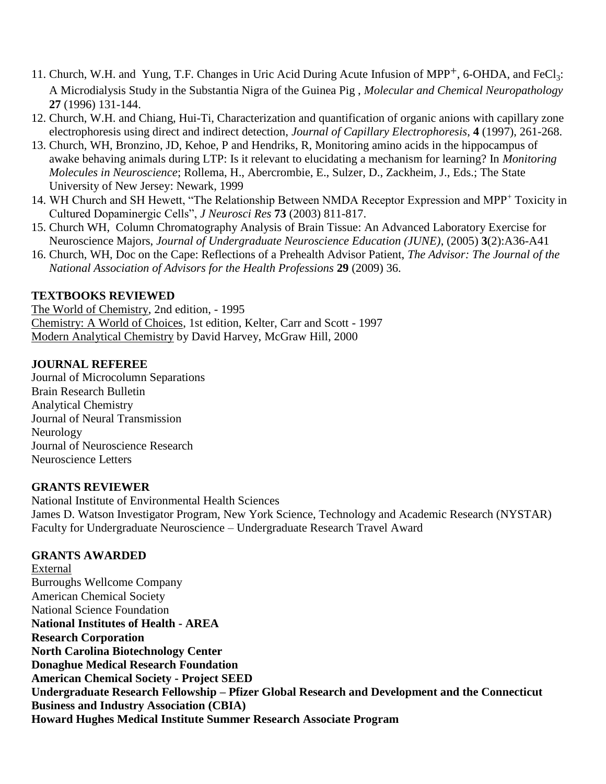- 11. Church, W.H. and Yung, T.F. Changes in Uric Acid During Acute Infusion of MPP<sup>+</sup>, 6-OHDA, and FeCl<sub>3</sub>: A Microdialysis Study in the Substantia Nigra of the Guinea Pig , *Molecular and Chemical Neuropathology* **27** (1996) 131-144.
- 12. Church, W.H. and Chiang, Hui-Ti, Characterization and quantification of organic anions with capillary zone electrophoresis using direct and indirect detection, *Journal of Capillary Electrophoresis*, **4** (1997), 261-268.
- 13. Church, WH, Bronzino, JD, Kehoe, P and Hendriks, R, Monitoring amino acids in the hippocampus of awake behaving animals during LTP: Is it relevant to elucidating a mechanism for learning? In *Monitoring Molecules in Neuroscience*; Rollema, H., Abercrombie, E., Sulzer, D., Zackheim, J., Eds.; The State University of New Jersey: Newark, 1999
- 14. WH Church and SH Hewett, "The Relationship Between NMDA Receptor Expression and MPP<sup>+</sup> Toxicity in Cultured Dopaminergic Cells", *J Neurosci Res* **73** (2003) 811-817.
- 15. Church WH, Column Chromatography Analysis of Brain Tissue: An Advanced Laboratory Exercise for Neuroscience Majors, *Journal of Undergraduate Neuroscience Education (JUNE)*, (2005) **3**(2):A36-A41
- 16. Church, WH, Doc on the Cape: Reflections of a Prehealth Advisor Patient, *The Advisor: The Journal of the National Association of Advisors for the Health Professions* **29** (2009) 36.

#### **TEXTBOOKS REVIEWED**

The World of Chemistry, 2nd edition, - 1995 Chemistry: A World of Choices, 1st edition, Kelter, Carr and Scott - 1997 Modern Analytical Chemistry by David Harvey, McGraw Hill, 2000

#### **JOURNAL REFEREE**

Journal of Microcolumn Separations Brain Research Bulletin Analytical Chemistry Journal of Neural Transmission Neurology Journal of Neuroscience Research Neuroscience Letters

#### **GRANTS REVIEWER**

National Institute of Environmental Health Sciences James D. Watson Investigator Program, New York Science, Technology and Academic Research (NYSTAR) Faculty for Undergraduate Neuroscience – Undergraduate Research Travel Award

#### **GRANTS AWARDED**

External Burroughs Wellcome Company American Chemical Society National Science Foundation **National Institutes of Health - AREA Research Corporation North Carolina Biotechnology Center Donaghue Medical Research Foundation American Chemical Society - Project SEED Undergraduate Research Fellowship – Pfizer Global Research and Development and the Connecticut Business and Industry Association (CBIA) Howard Hughes Medical Institute Summer Research Associate Program**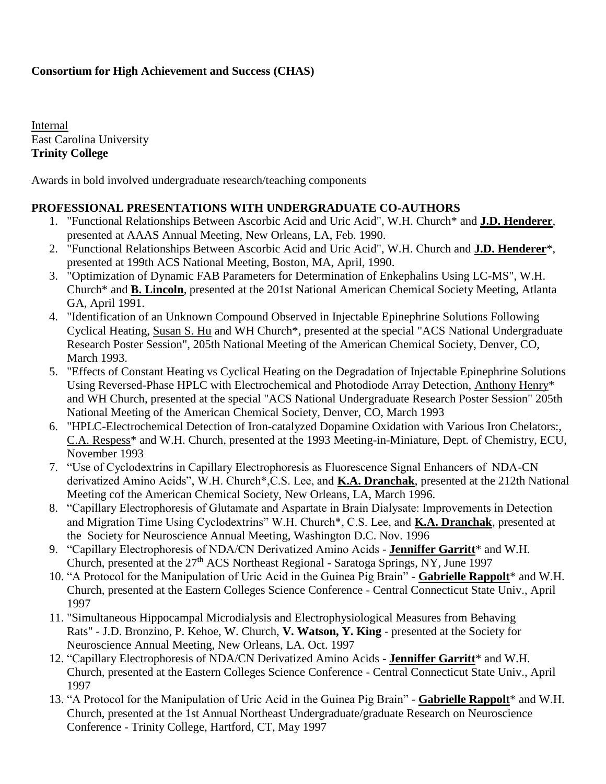# **Consortium for High Achievement and Success (CHAS)**

Internal East Carolina University **Trinity College**

Awards in bold involved undergraduate research/teaching components

#### **PROFESSIONAL PRESENTATIONS WITH UNDERGRADUATE CO-AUTHORS**

- 1. "Functional Relationships Between Ascorbic Acid and Uric Acid", W.H. Church\* and **J.D. Henderer**, presented at AAAS Annual Meeting, New Orleans, LA, Feb. 1990.
- 2. "Functional Relationships Between Ascorbic Acid and Uric Acid", W.H. Church and **J.D. Henderer**\*, presented at 199th ACS National Meeting, Boston, MA, April, 1990.
- 3. "Optimization of Dynamic FAB Parameters for Determination of Enkephalins Using LC-MS", W.H. Church\* and **B. Lincoln**, presented at the 201st National American Chemical Society Meeting, Atlanta GA, April 1991.
- 4. "Identification of an Unknown Compound Observed in Injectable Epinephrine Solutions Following Cyclical Heating, Susan S. Hu and WH Church\*, presented at the special "ACS National Undergraduate Research Poster Session", 205th National Meeting of the American Chemical Society, Denver, CO, March 1993.
- 5. "Effects of Constant Heating vs Cyclical Heating on the Degradation of Injectable Epinephrine Solutions Using Reversed-Phase HPLC with Electrochemical and Photodiode Array Detection, Anthony Henry\* and WH Church, presented at the special "ACS National Undergraduate Research Poster Session" 205th National Meeting of the American Chemical Society, Denver, CO, March 1993
- 6. "HPLC-Electrochemical Detection of Iron-catalyzed Dopamine Oxidation with Various Iron Chelators:, C.A. Respess\* and W.H. Church, presented at the 1993 Meeting-in-Miniature, Dept. of Chemistry, ECU, November 1993
- 7. "Use of Cyclodextrins in Capillary Electrophoresis as Fluorescence Signal Enhancers of NDA-CN derivatized Amino Acids", W.H. Church\*,C.S. Lee, and **K.A. Dranchak**, presented at the 212th National Meeting cof the American Chemical Society, New Orleans, LA, March 1996.
- 8. "Capillary Electrophoresis of Glutamate and Aspartate in Brain Dialysate: Improvements in Detection and Migration Time Using Cyclodextrins" W.H. Church\*, C.S. Lee, and **K.A. Dranchak**, presented at the Society for Neuroscience Annual Meeting, Washington D.C. Nov. 1996
- 9. "Capillary Electrophoresis of NDA/CN Derivatized Amino Acids **Jenniffer Garritt**\* and W.H. Church, presented at the 27<sup>th</sup> ACS Northeast Regional - Saratoga Springs, NY, June 1997
- 10. "A Protocol for the Manipulation of Uric Acid in the Guinea Pig Brain" **Gabrielle Rappolt**\* and W.H. Church, presented at the Eastern Colleges Science Conference - Central Connecticut State Univ., April 1997
- 11. "Simultaneous Hippocampal Microdialysis and Electrophysiological Measures from Behaving Rats" - J.D. Bronzino, P. Kehoe, W. Church, **V. Watson, Y. King** - presented at the Society for Neuroscience Annual Meeting, New Orleans, LA. Oct. 1997
- 12. "Capillary Electrophoresis of NDA/CN Derivatized Amino Acids **Jenniffer Garritt**\* and W.H. Church, presented at the Eastern Colleges Science Conference - Central Connecticut State Univ., April 1997
- 13. "A Protocol for the Manipulation of Uric Acid in the Guinea Pig Brain" **Gabrielle Rappolt**\* and W.H. Church, presented at the 1st Annual Northeast Undergraduate/graduate Research on Neuroscience Conference - Trinity College, Hartford, CT, May 1997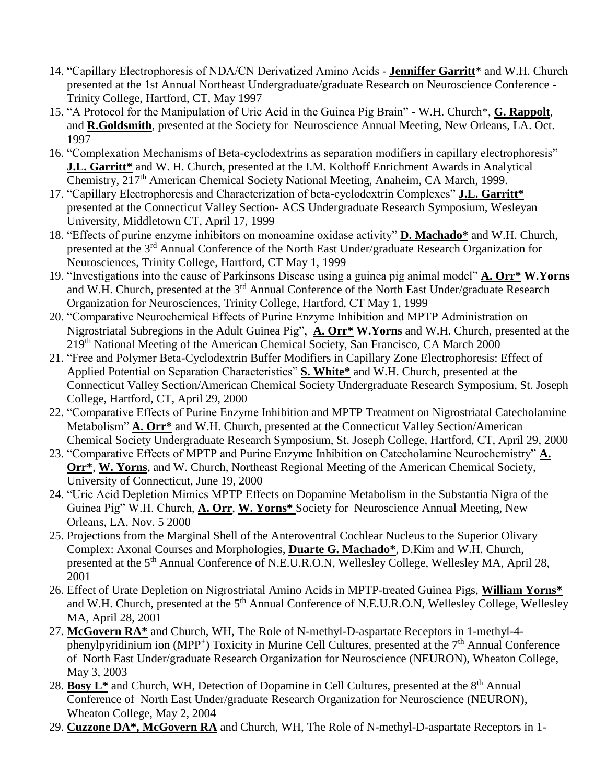- 14. "Capillary Electrophoresis of NDA/CN Derivatized Amino Acids **Jenniffer Garritt**\* and W.H. Church presented at the 1st Annual Northeast Undergraduate/graduate Research on Neuroscience Conference - Trinity College, Hartford, CT, May 1997
- 15. "A Protocol for the Manipulation of Uric Acid in the Guinea Pig Brain" W.H. Church\*, **G. Rappolt**, and **R.Goldsmith**, presented at the Society for Neuroscience Annual Meeting, New Orleans, LA. Oct. 1997
- 16. "Complexation Mechanisms of Beta-cyclodextrins as separation modifiers in capillary electrophoresis" **J.L. Garritt\*** and W. H. Church, presented at the I.M. Kolthoff Enrichment Awards in Analytical Chemistry, 217th American Chemical Society National Meeting, Anaheim, CA March, 1999.
- 17. "Capillary Electrophoresis and Characterization of beta-cyclodextrin Complexes" **J.L. Garritt\*** presented at the Connecticut Valley Section- ACS Undergraduate Research Symposium, Wesleyan University, Middletown CT, April 17, 1999
- 18. "Effects of purine enzyme inhibitors on monoamine oxidase activity" **D. Machado\*** and W.H. Church, presented at the 3rd Annual Conference of the North East Under/graduate Research Organization for Neurosciences, Trinity College, Hartford, CT May 1, 1999
- 19. "Investigations into the cause of Parkinsons Disease using a guinea pig animal model" **A. Orr\* W.Yorns** and W.H. Church, presented at the 3rd Annual Conference of the North East Under/graduate Research Organization for Neurosciences, Trinity College, Hartford, CT May 1, 1999
- 20. "Comparative Neurochemical Effects of Purine Enzyme Inhibition and MPTP Administration on Nigrostriatal Subregions in the Adult Guinea Pig", **A. Orr\* W.Yorns** and W.H. Church, presented at the 219th National Meeting of the American Chemical Society, San Francisco, CA March 2000
- 21. "Free and Polymer Beta-Cyclodextrin Buffer Modifiers in Capillary Zone Electrophoresis: Effect of Applied Potential on Separation Characteristics" **S. White\*** and W.H. Church, presented at the Connecticut Valley Section/American Chemical Society Undergraduate Research Symposium, St. Joseph College, Hartford, CT, April 29, 2000
- 22. "Comparative Effects of Purine Enzyme Inhibition and MPTP Treatment on Nigrostriatal Catecholamine Metabolism" **A. Orr\*** and W.H. Church, presented at the Connecticut Valley Section/American Chemical Society Undergraduate Research Symposium, St. Joseph College, Hartford, CT, April 29, 2000
- 23. "Comparative Effects of MPTP and Purine Enzyme Inhibition on Catecholamine Neurochemistry" **A. Orr\***, **W. Yorns**, and W. Church, Northeast Regional Meeting of the American Chemical Society, University of Connecticut, June 19, 2000
- 24. "Uric Acid Depletion Mimics MPTP Effects on Dopamine Metabolism in the Substantia Nigra of the Guinea Pig" W.H. Church, **A. Orr**, **W. Yorns\*** Society for Neuroscience Annual Meeting, New Orleans, LA. Nov. 5 2000
- 25. Projections from the Marginal Shell of the Anteroventral Cochlear Nucleus to the Superior Olivary Complex: Axonal Courses and Morphologies, **Duarte G. Machado\***, D.Kim and W.H. Church, presented at the 5<sup>th</sup> Annual Conference of N.E.U.R.O.N, Wellesley College, Wellesley MA, April 28, 2001
- 26. Effect of Urate Depletion on Nigrostriatal Amino Acids in MPTP-treated Guinea Pigs, **William Yorns\*** and W.H. Church, presented at the 5<sup>th</sup> Annual Conference of N.E.U.R.O.N, Wellesley College, Wellesley MA, April 28, 2001
- 27. **McGovern RA\*** and Church, WH, The Role of N-methyl-D-aspartate Receptors in 1-methyl-4 phenylpyridinium ion (MPP<sup>+</sup>) Toxicity in Murine Cell Cultures, presented at the 7<sup>th</sup> Annual Conference of North East Under/graduate Research Organization for Neuroscience (NEURON), Wheaton College, May 3, 2003
- 28. **Bosy L<sup>\*</sup>** and Church, WH, Detection of Dopamine in Cell Cultures, presented at the 8<sup>th</sup> Annual Conference of North East Under/graduate Research Organization for Neuroscience (NEURON), Wheaton College, May 2, 2004
- 29. **Cuzzone DA\*, McGovern RA** and Church, WH, The Role of N-methyl-D-aspartate Receptors in 1-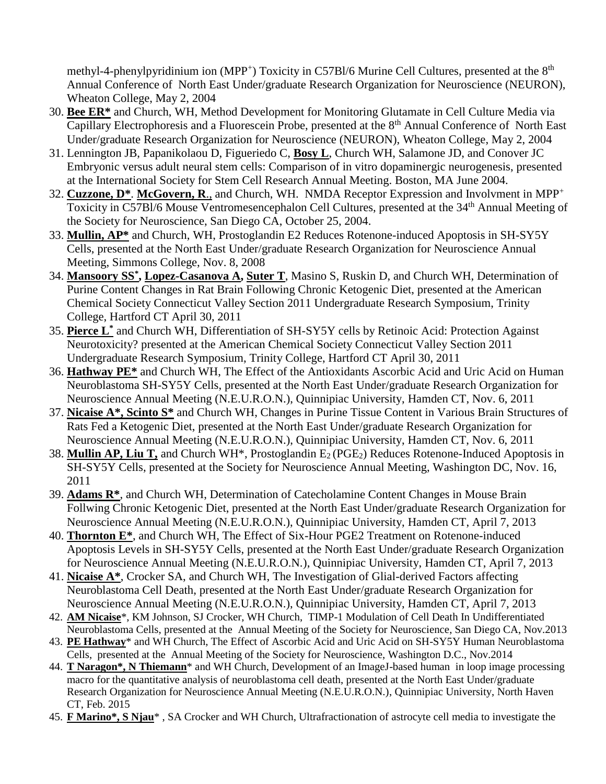methyl-4-phenylpyridinium ion (MPP<sup>+</sup>) Toxicity in C57Bl/6 Murine Cell Cultures, presented at the 8<sup>th</sup> Annual Conference of North East Under/graduate Research Organization for Neuroscience (NEURON), Wheaton College, May 2, 2004

- 30. **Bee ER\*** and Church, WH, Method Development for Monitoring Glutamate in Cell Culture Media via Capillary Electrophoresis and a Fluorescein Probe, presented at the 8th Annual Conference of North East Under/graduate Research Organization for Neuroscience (NEURON), Wheaton College, May 2, 2004
- 31. Lennington JB, Papanikolaou D, Figueriedo C, **Bosy L**, Church WH, Salamone JD, and Conover JC Embryonic versus adult neural stem cells: Comparison of in vitro dopaminergic neurogenesis, presented at the International Society for Stem Cell Research Annual Meeting. Boston, MA June 2004.
- 32. **Cuzzone, D\***. **McGovern, R**., and Church, WH. NMDA Receptor Expression and Involvment in MPP<sup>+</sup> Toxicity in C57Bl/6 Mouse Ventromesencephalon Cell Cultures, presented at the 34th Annual Meeting of the Society for Neuroscience, San Diego CA, October 25, 2004.
- 33. **Mullin, AP\*** and Church, WH, Prostoglandin E2 Reduces Rotenone-induced Apoptosis in SH-SY5Y Cells, presented at the North East Under/graduate Research Organization for Neuroscience Annual Meeting, Simmons College, Nov. 8, 2008
- 34. **Mansoory SS\* , Lopez-Casanova A, Suter T**, Masino S, Ruskin D, and Church WH, Determination of Purine Content Changes in Rat Brain Following Chronic Ketogenic Diet, presented at the American Chemical Society Connecticut Valley Section 2011 Undergraduate Research Symposium, Trinity College, Hartford CT April 30, 2011
- 35. **Pierce L\*** and Church WH, Differentiation of SH-SY5Y cells by Retinoic Acid: Protection Against Neurotoxicity? presented at the American Chemical Society Connecticut Valley Section 2011 Undergraduate Research Symposium, Trinity College, Hartford CT April 30, 2011
- 36. **Hathway PE\*** and Church WH, The Effect of the Antioxidants Ascorbic Acid and Uric Acid on Human Neuroblastoma SH-SY5Y Cells, presented at the North East Under/graduate Research Organization for Neuroscience Annual Meeting (N.E.U.R.O.N.), Quinnipiac University, Hamden CT, Nov. 6, 2011
- 37. **Nicaise A\*, Scinto S\*** and Church WH, Changes in Purine Tissue Content in Various Brain Structures of Rats Fed a Ketogenic Diet, presented at the North East Under/graduate Research Organization for Neuroscience Annual Meeting (N.E.U.R.O.N.), Quinnipiac University, Hamden CT, Nov. 6, 2011
- 38. **Mullin AP, Liu T,** and Church WH\*, Prostoglandin E2 (PGE2) Reduces Rotenone-Induced Apoptosis in SH-SY5Y Cells, presented at the Society for Neuroscience Annual Meeting, Washington DC, Nov. 16, 2011
- 39. **Adams R\***, and Church WH, Determination of Catecholamine Content Changes in Mouse Brain Follwing Chronic Ketogenic Diet, presented at the North East Under/graduate Research Organization for Neuroscience Annual Meeting (N.E.U.R.O.N.), Quinnipiac University, Hamden CT, April 7, 2013
- 40. **Thornton E\***, and Church WH, The Effect of Six-Hour PGE2 Treatment on Rotenone-induced Apoptosis Levels in SH-SY5Y Cells, presented at the North East Under/graduate Research Organization for Neuroscience Annual Meeting (N.E.U.R.O.N.), Quinnipiac University, Hamden CT, April 7, 2013
- 41. **Nicaise A\***, Crocker SA, and Church WH, The Investigation of Glial-derived Factors affecting Neuroblastoma Cell Death, presented at the North East Under/graduate Research Organization for Neuroscience Annual Meeting (N.E.U.R.O.N.), Quinnipiac University, Hamden CT, April 7, 2013
- 42. **AM Nicaise**\*, KM Johnson, SJ Crocker, WH Church, TIMP-1 Modulation of Cell Death In Undifferentiated Neuroblastoma Cells, presented at the Annual Meeting of the Society for Neuroscience, San Diego CA, Nov.2013
- 43. **PE Hathway**\* and WH Church, The Effect of Ascorbic Acid and Uric Acid on SH-SY5Y Human Neuroblastoma Cells, presented at the Annual Meeting of the Society for Neuroscience, Washington D.C., Nov.2014
- 44. **T Naragon\*, N Thiemann**\* and WH Church, Development of an ImageJ-based human in loop image processing macro for the quantitative analysis of neuroblastoma cell death, presented at the North East Under/graduate Research Organization for Neuroscience Annual Meeting (N.E.U.R.O.N.), Quinnipiac University, North Haven CT, Feb. 2015
- 45. **F Marino\*, S Njau**\* , SA Crocker and WH Church, Ultrafractionation of astrocyte cell media to investigate the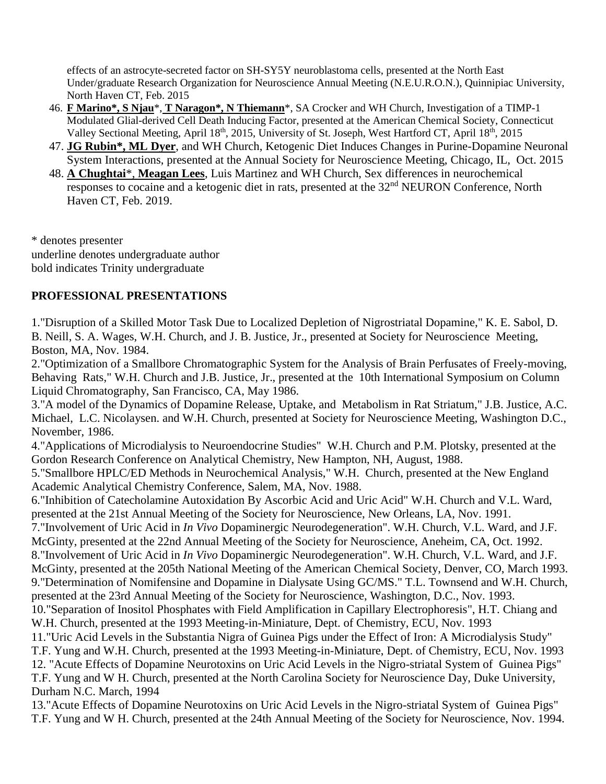effects of an astrocyte-secreted factor on SH-SY5Y neuroblastoma cells, presented at the North East Under/graduate Research Organization for Neuroscience Annual Meeting (N.E.U.R.O.N.), Quinnipiac University, North Haven CT, Feb. 2015

- 46. **F Marino\*, S Njau**\*, **T Naragon\*, N Thiemann**\*, SA Crocker and WH Church, Investigation of a TIMP-1 Modulated Glial-derived Cell Death Inducing Factor, presented at the American Chemical Society, Connecticut Valley Sectional Meeting, April 18<sup>th</sup>, 2015, University of St. Joseph, West Hartford CT, April 18<sup>th</sup>, 2015
- 47. **JG Rubin\*, ML Dyer**, and WH Church, Ketogenic Diet Induces Changes in Purine-Dopamine Neuronal System Interactions, presented at the Annual Society for Neuroscience Meeting, Chicago, IL, Oct. 2015
- 48. **A Chughtai**\*, **Meagan Lees**, Luis Martinez and WH Church, Sex differences in neurochemical responses to cocaine and a ketogenic diet in rats, presented at the  $32<sup>nd</sup>$  NEURON Conference, North Haven CT, Feb. 2019.

\* denotes presenter underline denotes undergraduate author bold indicates Trinity undergraduate

# **PROFESSIONAL PRESENTATIONS**

1."Disruption of a Skilled Motor Task Due to Localized Depletion of Nigrostriatal Dopamine," K. E. Sabol, D. B. Neill, S. A. Wages, W.H. Church, and J. B. Justice, Jr., presented at Society for Neuroscience Meeting, Boston, MA, Nov. 1984.

2."Optimization of a Smallbore Chromatographic System for the Analysis of Brain Perfusates of Freely-moving, Behaving Rats," W.H. Church and J.B. Justice, Jr., presented at the 10th International Symposium on Column Liquid Chromatography, San Francisco, CA, May 1986.

3."A model of the Dynamics of Dopamine Release, Uptake, and Metabolism in Rat Striatum," J.B. Justice, A.C. Michael, L.C. Nicolaysen. and W.H. Church, presented at Society for Neuroscience Meeting, Washington D.C., November, 1986.

4."Applications of Microdialysis to Neuroendocrine Studies" W.H. Church and P.M. Plotsky, presented at the Gordon Research Conference on Analytical Chemistry, New Hampton, NH, August, 1988.

5."Smallbore HPLC/ED Methods in Neurochemical Analysis," W.H. Church, presented at the New England Academic Analytical Chemistry Conference, Salem, MA, Nov. 1988.

6."Inhibition of Catecholamine Autoxidation By Ascorbic Acid and Uric Acid" W.H. Church and V.L. Ward, presented at the 21st Annual Meeting of the Society for Neuroscience, New Orleans, LA, Nov. 1991.

7."Involvement of Uric Acid in *In Vivo* Dopaminergic Neurodegeneration". W.H. Church, V.L. Ward, and J.F. McGinty, presented at the 22nd Annual Meeting of the Society for Neuroscience, Aneheim, CA, Oct. 1992.

8."Involvement of Uric Acid in *In Vivo* Dopaminergic Neurodegeneration". W.H. Church, V.L. Ward, and J.F. McGinty, presented at the 205th National Meeting of the American Chemical Society, Denver, CO, March 1993. 9."Determination of Nomifensine and Dopamine in Dialysate Using GC/MS." T.L. Townsend and W.H. Church,

presented at the 23rd Annual Meeting of the Society for Neuroscience, Washington, D.C., Nov. 1993.

10."Separation of Inositol Phosphates with Field Amplification in Capillary Electrophoresis", H.T. Chiang and W.H. Church, presented at the 1993 Meeting-in-Miniature, Dept. of Chemistry, ECU, Nov. 1993

11."Uric Acid Levels in the Substantia Nigra of Guinea Pigs under the Effect of Iron: A Microdialysis Study" T.F. Yung and W.H. Church, presented at the 1993 Meeting-in-Miniature, Dept. of Chemistry, ECU, Nov. 1993 12. "Acute Effects of Dopamine Neurotoxins on Uric Acid Levels in the Nigro-striatal System of Guinea Pigs" T.F. Yung and W H. Church, presented at the North Carolina Society for Neuroscience Day, Duke University, Durham N.C. March, 1994

13."Acute Effects of Dopamine Neurotoxins on Uric Acid Levels in the Nigro-striatal System of Guinea Pigs" T.F. Yung and W H. Church, presented at the 24th Annual Meeting of the Society for Neuroscience, Nov. 1994.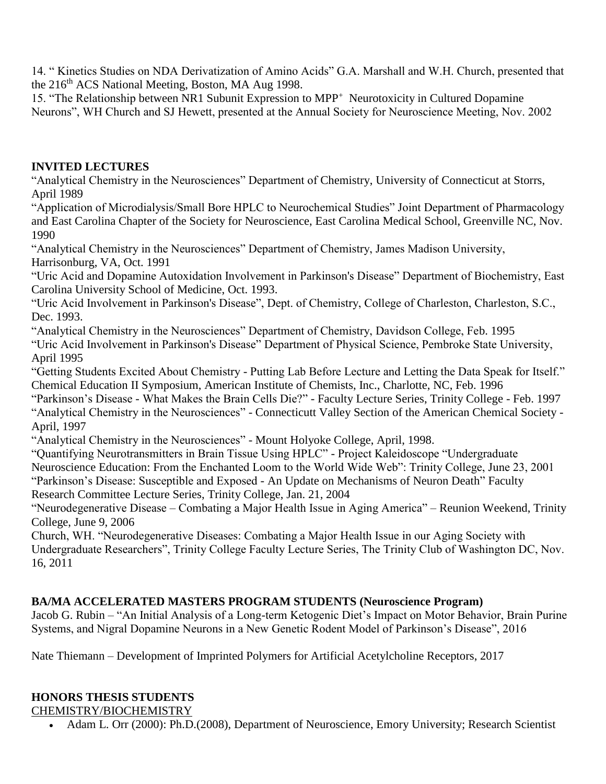14. " Kinetics Studies on NDA Derivatization of Amino Acids" G.A. Marshall and W.H. Church, presented that the 216<sup>th</sup> ACS National Meeting, Boston, MA Aug 1998.

15. "The Relationship between NR1 Subunit Expression to MPP<sup>+</sup> Neurotoxicity in Cultured Dopamine Neurons", WH Church and SJ Hewett, presented at the Annual Society for Neuroscience Meeting, Nov. 2002

### **INVITED LECTURES**

"Analytical Chemistry in the Neurosciences" Department of Chemistry, University of Connecticut at Storrs, April 1989

"Application of Microdialysis/Small Bore HPLC to Neurochemical Studies" Joint Department of Pharmacology and East Carolina Chapter of the Society for Neuroscience, East Carolina Medical School, Greenville NC, Nov. 1990

"Analytical Chemistry in the Neurosciences" Department of Chemistry, James Madison University, Harrisonburg, VA, Oct. 1991

"Uric Acid and Dopamine Autoxidation Involvement in Parkinson's Disease" Department of Biochemistry, East Carolina University School of Medicine, Oct. 1993.

"Uric Acid Involvement in Parkinson's Disease", Dept. of Chemistry, College of Charleston, Charleston, S.C., Dec. 1993.

"Analytical Chemistry in the Neurosciences" Department of Chemistry, Davidson College, Feb. 1995 "Uric Acid Involvement in Parkinson's Disease" Department of Physical Science, Pembroke State University, April 1995

"Getting Students Excited About Chemistry - Putting Lab Before Lecture and Letting the Data Speak for Itself." Chemical Education II Symposium, American Institute of Chemists, Inc., Charlotte, NC, Feb. 1996

"Parkinson's Disease - What Makes the Brain Cells Die?" - Faculty Lecture Series, Trinity College - Feb. 1997 "Analytical Chemistry in the Neurosciences" - Connecticutt Valley Section of the American Chemical Society - April, 1997

"Analytical Chemistry in the Neurosciences" - Mount Holyoke College, April, 1998.

"Quantifying Neurotransmitters in Brain Tissue Using HPLC" - Project Kaleidoscope "Undergraduate

Neuroscience Education: From the Enchanted Loom to the World Wide Web": Trinity College, June 23, 2001

"Parkinson's Disease: Susceptible and Exposed - An Update on Mechanisms of Neuron Death" Faculty Research Committee Lecture Series, Trinity College, Jan. 21, 2004

"Neurodegenerative Disease – Combating a Major Health Issue in Aging America" – Reunion Weekend, Trinity College, June 9, 2006

Church, WH. "Neurodegenerative Diseases: Combating a Major Health Issue in our Aging Society with Undergraduate Researchers", Trinity College Faculty Lecture Series, The Trinity Club of Washington DC, Nov. 16, 2011

# **BA/MA ACCELERATED MASTERS PROGRAM STUDENTS (Neuroscience Program)**

Jacob G. Rubin – "An Initial Analysis of a Long-term Ketogenic Diet's Impact on Motor Behavior, Brain Purine Systems, and Nigral Dopamine Neurons in a New Genetic Rodent Model of Parkinson's Disease", 2016

Nate Thiemann – Development of Imprinted Polymers for Artificial Acetylcholine Receptors, 2017

# **HONORS THESIS STUDENTS**

CHEMISTRY/BIOCHEMISTRY

Adam L. Orr (2000): Ph.D.(2008), Department of Neuroscience, Emory University; Research Scientist